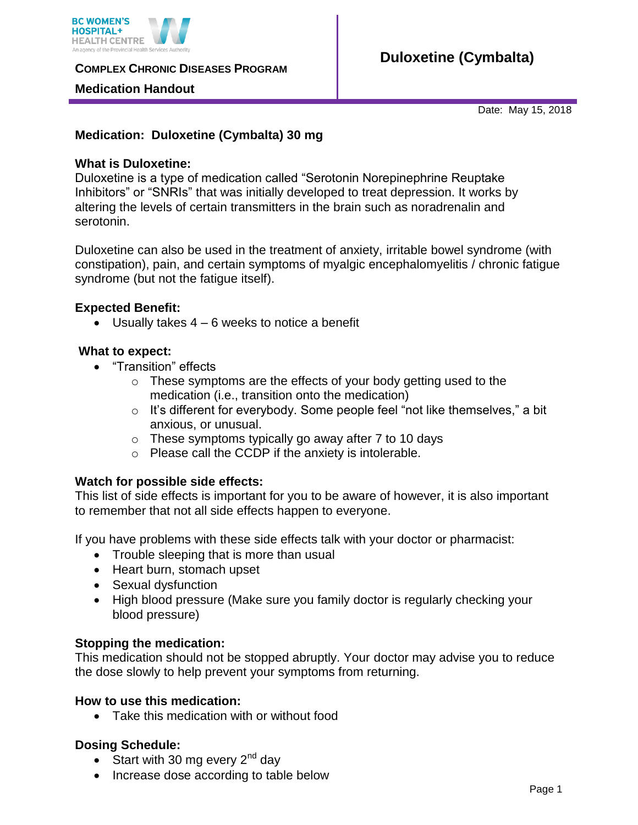

**COMPLEX CHRONIC DISEASES PROGRAM** 

## **Medication Handout**

# **Duloxetine (Cymbalta)**

Date: May 15, 2018

# **Medication: Duloxetine (Cymbalta) 30 mg**

## **What is Duloxetine:**

Duloxetine is a type of medication called "Serotonin Norepinephrine Reuptake Inhibitors" or "SNRIs" that was initially developed to treat depression. It works by altering the levels of certain transmitters in the brain such as noradrenalin and serotonin.

Duloxetine can also be used in the treatment of anxiety, irritable bowel syndrome (with constipation), pain, and certain symptoms of myalgic encephalomyelitis / chronic fatigue syndrome (but not the fatigue itself).

## **Expected Benefit:**

 $\bullet$  Usually takes  $4 - 6$  weeks to notice a benefit

## **What to expect:**

- "Transition" effects
	- $\circ$  These symptoms are the effects of your body getting used to the medication (i.e., transition onto the medication)
	- o It's different for everybody. Some people feel "not like themselves," a bit anxious, or unusual.
	- $\circ$  These symptoms typically go away after 7 to 10 days
	- o Please call the CCDP if the anxiety is intolerable.

#### **Watch for possible side effects:**

This list of side effects is important for you to be aware of however, it is also important to remember that not all side effects happen to everyone.

If you have problems with these side effects talk with your doctor or pharmacist:

- Trouble sleeping that is more than usual
- Heart burn, stomach upset
- Sexual dysfunction
- High blood pressure (Make sure you family doctor is regularly checking your blood pressure)

#### **Stopping the medication:**

This medication should not be stopped abruptly. Your doctor may advise you to reduce the dose slowly to help prevent your symptoms from returning.

#### **How to use this medication:**

• Take this medication with or without food

# **Dosing Schedule:**

- Start with 30 mg every  $2<sup>nd</sup>$  day
- Increase dose according to table below